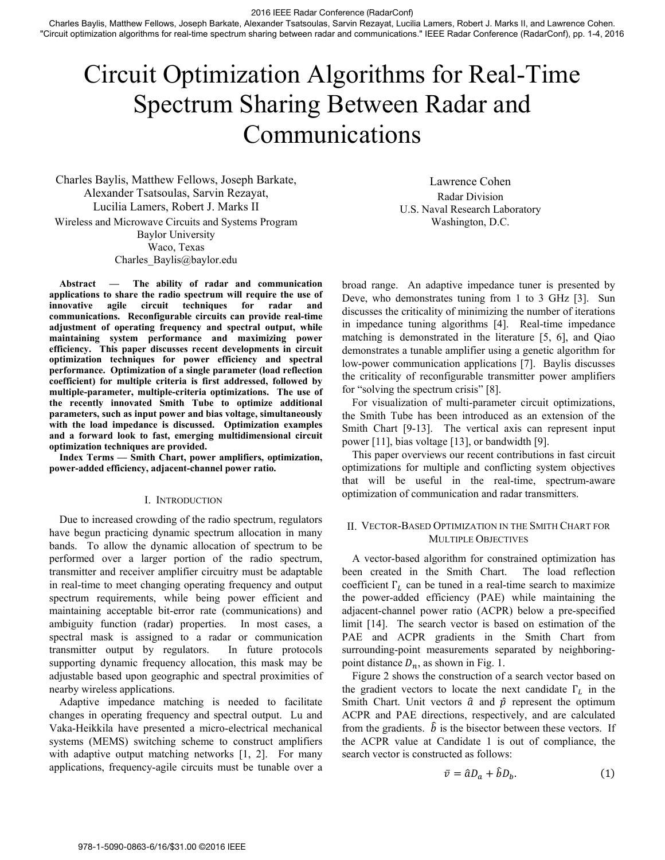2016 IEEE Radar Conference (RadarConf)

Charles Baylis, Matthew Fellows, Joseph Barkate, Alexander Tsatsoulas, Sarvin Rezayat, Lucilia Lamers, Robert J. Marks II, and Lawrence Cohen. "Circuit optimization algorithms for real-time spectrum sharing between radar and communications." IEEE Radar Conference (RadarConf), pp. 1-4, 2016

# Circuit Optimization Algorithms for Real-Time Spectrum Sharing Between Radar and Communications

Charles Baylis, Matthew Fellows, Joseph Barkate, Alexander Tsatsoulas, Sarvin Rezayat, Lucilia Lamers, Robert J. Marks II Wireless and Microwave Circuits and Systems Program Baylor University Waco, Texas Charles\_Baylis@baylor.edu

**Abstract — The ability of radar and communication applications to share the radio spectrum will require the use of innovative agile circuit techniques for radar and communications. Reconfigurable circuits can provide real-time adjustment of operating frequency and spectral output, while maintaining system performance and maximizing power efficiency. This paper discusses recent developments in circuit optimization techniques for power efficiency and spectral performance. Optimization of a single parameter (load reflection coefficient) for multiple criteria is first addressed, followed by multiple-parameter, multiple-criteria optimizations. The use of the recently innovated Smith Tube to optimize additional parameters, such as input power and bias voltage, simultaneously with the load impedance is discussed. Optimization examples and a forward look to fast, emerging multidimensional circuit optimization techniques are provided.** 

**Index Terms — Smith Chart, power amplifiers, optimization, power-added efficiency, adjacent-channel power ratio.** 

## I. INTRODUCTION

Due to increased crowding of the radio spectrum, regulators have begun practicing dynamic spectrum allocation in many bands. To allow the dynamic allocation of spectrum to be performed over a larger portion of the radio spectrum, transmitter and receiver amplifier circuitry must be adaptable in real-time to meet changing operating frequency and output spectrum requirements, while being power efficient and maintaining acceptable bit-error rate (communications) and ambiguity function (radar) properties. In most cases, a spectral mask is assigned to a radar or communication transmitter output by regulators. In future protocols supporting dynamic frequency allocation, this mask may be adjustable based upon geographic and spectral proximities of nearby wireless applications.

Adaptive impedance matching is needed to facilitate changes in operating frequency and spectral output. Lu and Vaka-Heikkila have presented a micro-electrical mechanical systems (MEMS) switching scheme to construct amplifiers with adaptive output matching networks [1, 2]. For many applications, frequency-agile circuits must be tunable over a

Lawrence Cohen Radar Division U.S. Naval Research Laboratory Washington, D.C.

broad range. An adaptive impedance tuner is presented by Deve, who demonstrates tuning from 1 to 3 GHz [3]. Sun discusses the criticality of minimizing the number of iterations in impedance tuning algorithms [4]. Real-time impedance matching is demonstrated in the literature [5, 6], and Qiao demonstrates a tunable amplifier using a genetic algorithm for low-power communication applications [7]. Baylis discusses the criticality of reconfigurable transmitter power amplifiers for "solving the spectrum crisis" [8].

For visualization of multi-parameter circuit optimizations, the Smith Tube has been introduced as an extension of the Smith Chart [9-13]. The vertical axis can represent input power [11], bias voltage [13], or bandwidth [9].

This paper overviews our recent contributions in fast circuit optimizations for multiple and conflicting system objectives that will be useful in the real-time, spectrum-aware optimization of communication and radar transmitters.

#### II. VECTOR-BASED OPTIMIZATION IN THE SMITH CHART FOR MULTIPLE OBJECTIVES

A vector-based algorithm for constrained optimization has been created in the Smith Chart. The load reflection coefficient  $\Gamma_L$  can be tuned in a real-time search to maximize the power-added efficiency (PAE) while maintaining the adjacent-channel power ratio (ACPR) below a pre-specified limit [14]. The search vector is based on estimation of the PAE and ACPR gradients in the Smith Chart from surrounding-point measurements separated by neighboringpoint distance  $D_n$ , as shown in Fig. 1.

Figure 2 shows the construction of a search vector based on the gradient vectors to locate the next candidate  $\Gamma_L$  in the Smith Chart. Unit vectors  $\hat{a}$  and  $\hat{p}$  represent the optimum ACPR and PAE directions, respectively, and are calculated from the gradients.  $\hat{b}$  is the bisector between these vectors. If the ACPR value at Candidate 1 is out of compliance, the search vector is constructed as follows:

$$
\bar{v} = \hat{a}D_a + \hat{b}D_b. \tag{1}
$$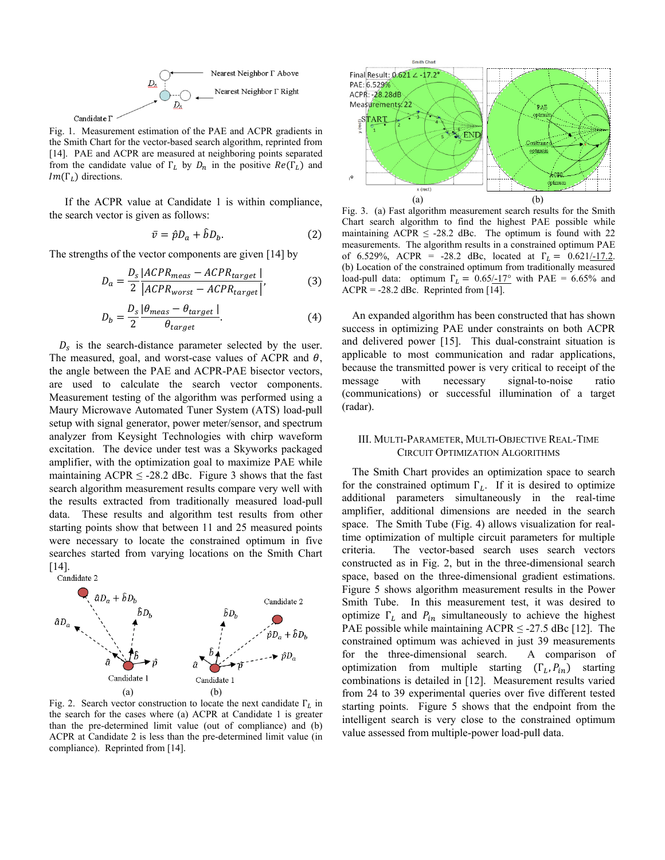

Fig. 1. Measurement estimation of the PAE and ACPR gradients in the Smith Chart for the vector-based search algorithm, reprinted from [14]. PAE and ACPR are measured at neighboring points separated from the candidate value of  $\Gamma_L$  by  $D_n$  in the positive  $Re(\Gamma_L)$  and  $Im(\Gamma_L)$  directions.

If the ACPR value at Candidate 1 is within compliance, the search vector is given as follows:

$$
\bar{v} = \hat{p}D_a + \hat{b}D_b. \tag{2}
$$

The strengths of the vector components are given [14] by

$$
D_a = \frac{D_s}{2} \frac{|ACPR_{meas} - ACPR_{target}|}{|ACPR_{worst} - ACPR_{target}|},
$$
(3)  

$$
D_b = \frac{D_s}{2} \frac{|\theta_{meas} - \theta_{target}|}{\theta_{target}}.
$$
(4)

 $100<sub>n</sub>$ 

 $D_s$  is the search-distance parameter selected by the user. The measured, goal, and worst-case values of ACPR and  $\theta$ , the angle between the PAE and ACPR-PAE bisector vectors, are used to calculate the search vector components. Measurement testing of the algorithm was performed using a Maury Microwave Automated Tuner System (ATS) load-pull setup with signal generator, power meter/sensor, and spectrum analyzer from Keysight Technologies with chirp waveform excitation. The device under test was a Skyworks packaged amplifier, with the optimization goal to maximize PAE while maintaining  $ACPR \leq -28.2$  dBc. Figure 3 shows that the fast search algorithm measurement results compare very well with the results extracted from traditionally measured load-pull data. These results and algorithm test results from other starting points show that between 11 and 25 measured points were necessary to locate the constrained optimum in five searches started from varying locations on the Smith Chart [14].<br>Candidate 2



Fig. 2. Search vector construction to locate the next candidate  $\Gamma_L$  in the search for the cases where (a) ACPR at Candidate 1 is greater than the pre-determined limit value (out of compliance) and (b) ACPR at Candidate 2 is less than the pre-determined limit value (in compliance). Reprinted from [14].



Fig. 3. (a) Fast algorithm measurement search results for the Smith Chart search algorithm to find the highest PAE possible while maintaining ACPR  $\leq$  -28.2 dBc. The optimum is found with 22 measurements. The algorithm results in a constrained optimum PAE of 6.529%, ACPR = -28.2 dBc, located at  $\Gamma_L = 0.621/17.2$ . (b) Location of the constrained optimum from traditionally measured load-pull data: optimum  $\Gamma_L = 0.65/17$ ° with PAE = 6.65% and  $ACPR = -28.2$  dBc. Reprinted from [14].

An expanded algorithm has been constructed that has shown success in optimizing PAE under constraints on both ACPR and delivered power [15]. This dual-constraint situation is applicable to most communication and radar applications, because the transmitted power is very critical to receipt of the message with necessary signal-to-noise ratio (communications) or successful illumination of a target (radar).

### III. MULTI-PARAMETER, MULTI-OBJECTIVE REAL-TIME CIRCUIT OPTIMIZATION ALGORITHMS

The Smith Chart provides an optimization space to search for the constrained optimum  $\Gamma_L$ . If it is desired to optimize additional parameters simultaneously in the real-time amplifier, additional dimensions are needed in the search space. The Smith Tube (Fig. 4) allows visualization for realtime optimization of multiple circuit parameters for multiple criteria. The vector-based search uses search vectors constructed as in Fig. 2, but in the three-dimensional search space, based on the three-dimensional gradient estimations. Figure 5 shows algorithm measurement results in the Power Smith Tube. In this measurement test, it was desired to optimize  $\Gamma_L$  and  $P_{in}$  simultaneously to achieve the highest PAE possible while maintaining  $ACPR \le 27.5$  dBc [12]. The constrained optimum was achieved in just 39 measurements for the three-dimensional search. A comparison of optimization from multiple starting  $(\Gamma_L, P_{in})$  starting combinations is detailed in [12]. Measurement results varied from 24 to 39 experimental queries over five different tested starting points. Figure 5 shows that the endpoint from the intelligent search is very close to the constrained optimum value assessed from multiple-power load-pull data.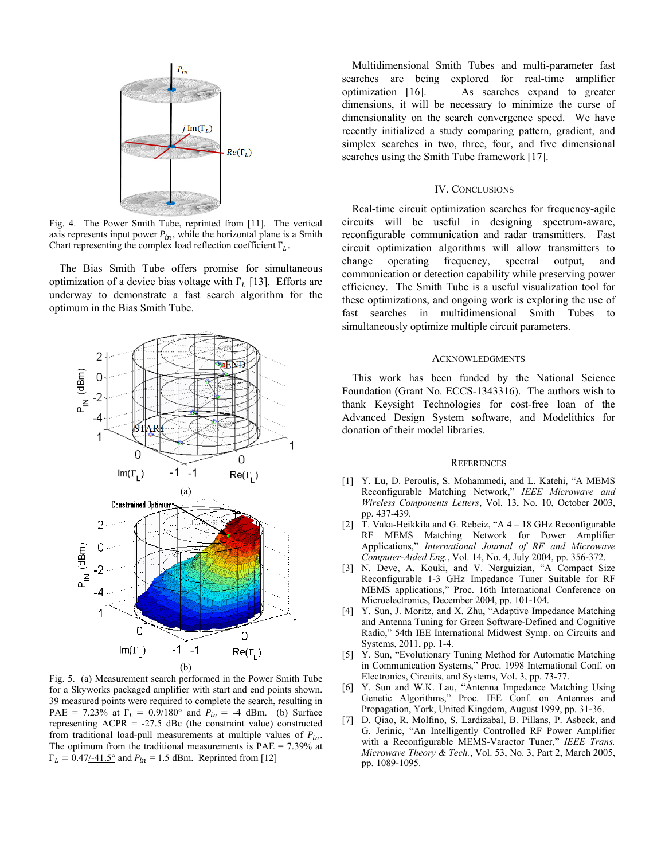

Fig. 4. The Power Smith Tube, reprinted from [11]. The vertical axis represents input power  $P_{in}$ , while the horizontal plane is a Smith Chart representing the complex load reflection coefficient  $\Gamma_L$ .

The Bias Smith Tube offers promise for simultaneous optimization of a device bias voltage with  $\Gamma_L$  [13]. Efforts are underway to demonstrate a fast search algorithm for the optimum in the Bias Smith Tube.



Fig. 5. (a) Measurement search performed in the Power Smith Tube for a Skyworks packaged amplifier with start and end points shown. 39 measured points were required to complete the search, resulting in PAE = 7.23% at  $\Gamma_l = 0.9/180^{\circ}$  and  $P_{in} = -4$  dBm. (b) Surface representing  $ACPR = -27.5$  dBc (the constraint value) constructed from traditional load-pull measurements at multiple values of  $P_{in}$ . The optimum from the traditional measurements is  $PAE = 7.39\%$  at  $\Gamma_L = 0.47/41.5^{\circ}$  and  $P_{in} = 1.5$  dBm. Reprinted from [12]

Multidimensional Smith Tubes and multi-parameter fast searches are being explored for real-time amplifier optimization [16]. As searches expand to greater dimensions, it will be necessary to minimize the curse of dimensionality on the search convergence speed. We have recently initialized a study comparing pattern, gradient, and simplex searches in two, three, four, and five dimensional searches using the Smith Tube framework [17].

#### IV. CONCLUSIONS

Real-time circuit optimization searches for frequency-agile circuits will be useful in designing spectrum-aware, reconfigurable communication and radar transmitters. Fast circuit optimization algorithms will allow transmitters to change operating frequency, spectral output, and communication or detection capability while preserving power efficiency. The Smith Tube is a useful visualization tool for these optimizations, and ongoing work is exploring the use of fast searches in multidimensional Smith Tubes to simultaneously optimize multiple circuit parameters.

# **ACKNOWLEDGMENTS**

This work has been funded by the National Science Foundation (Grant No. ECCS-1343316). The authors wish to thank Keysight Technologies for cost-free loan of the Advanced Design System software, and Modelithics for donation of their model libraries.

#### **REFERENCES**

- [1] Y. Lu, D. Peroulis, S. Mohammedi, and L. Katehi, "A MEMS Reconfigurable Matching Network," *IEEE Microwave and Wireless Components Letters*, Vol. 13, No. 10, October 2003, pp. 437-439.
- [2] T. Vaka-Heikkila and G. Rebeiz, "A 4 18 GHz Reconfigurable RF MEMS Matching Network for Power Amplifier Applications," *International Journal of RF and Microwave Computer-Aided Eng.*, Vol. 14, No. 4, July 2004, pp. 356-372.
- [3] N. Deve, A. Kouki, and V. Nerguizian, "A Compact Size Reconfigurable 1-3 GHz Impedance Tuner Suitable for RF MEMS applications," Proc. 16th International Conference on Microelectronics, December 2004, pp. 101-104.
- [4] Y. Sun, J. Moritz, and X. Zhu, "Adaptive Impedance Matching and Antenna Tuning for Green Software-Defined and Cognitive Radio," 54th IEE International Midwest Symp. on Circuits and Systems, 2011, pp. 1-4.
- [5] Y. Sun, "Evolutionary Tuning Method for Automatic Matching in Communication Systems," Proc. 1998 International Conf. on Electronics, Circuits, and Systems, Vol. 3, pp. 73-77.
- [6] Y. Sun and W.K. Lau, "Antenna Impedance Matching Using Genetic Algorithms," Proc. IEE Conf. on Antennas and Propagation, York, United Kingdom, August 1999, pp. 31-36.
- [7] D. Qiao, R. Molfino, S. Lardizabal, B. Pillans, P. Asbeck, and G. Jerinic, "An Intelligently Controlled RF Power Amplifier with a Reconfigurable MEMS-Varactor Tuner," *IEEE Trans. Microwave Theory & Tech.*, Vol. 53, No. 3, Part 2, March 2005, pp. 1089-1095.